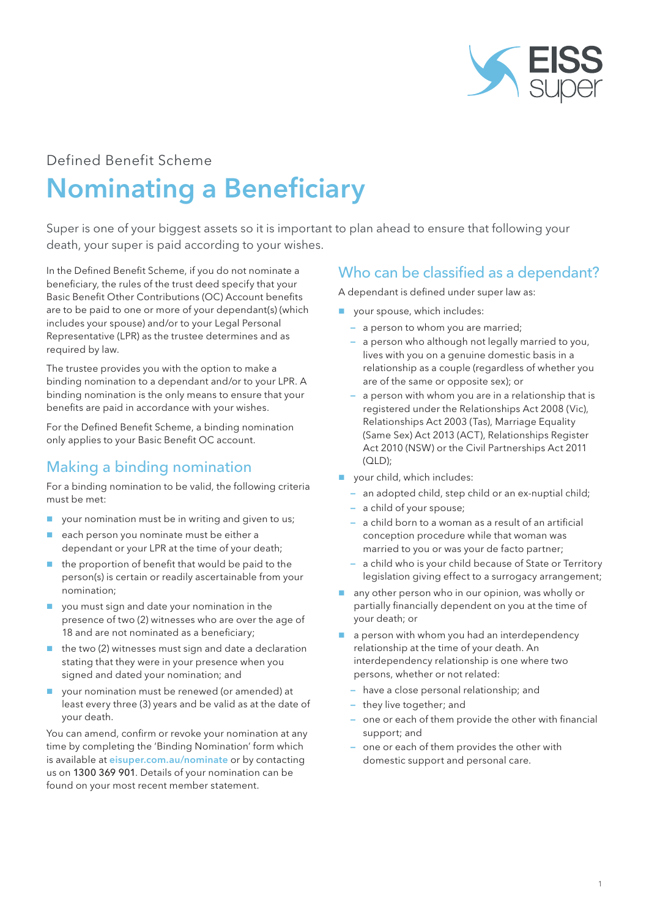

# Defined Benefit Scheme

# Nominating a Beneficiary

Super is one of your biggest assets so it is important to plan ahead to ensure that following your death, your super is paid according to your wishes.

In the Defined Benefit Scheme, if you do not nominate a beneficiary, the rules of the trust deed specify that your Basic Benefit Other Contributions (OC) Account benefits are to be paid to one or more of your dependant(s) (which includes your spouse) and/or to your Legal Personal Representative (LPR) as the trustee determines and as required by law.

The trustee provides you with the option to make a binding nomination to a dependant and/or to your LPR. A binding nomination is the only means to ensure that your benefits are paid in accordance with your wishes.

For the Defined Benefit Scheme, a binding nomination only applies to your Basic Benefit OC account.

## Making a binding nomination

For a binding nomination to be valid, the following criteria must be met:

- your nomination must be in writing and given to us;
- each person you nominate must be either a dependant or your LPR at the time of your death;
- $\blacksquare$  the proportion of benefit that would be paid to the person(s) is certain or readily ascertainable from your nomination;
- you must sign and date your nomination in the presence of two (2) witnesses who are over the age of 18 and are not nominated as a beneficiary;
- the two (2) witnesses must sign and date a declaration stating that they were in your presence when you signed and dated your nomination; and
- your nomination must be renewed (or amended) at least every three (3) years and be valid as at the date of your death.

You can amend, confirm or revoke your nomination at any time by completing the 'Binding Nomination' form which is available at [eisuper.com.au/nominate](https://www.eisuper.com.au/nominate) or by contacting us on 1300 369 901. Details of your nomination can be found on your most recent member statement.

## Who can be classified as a dependant?

A dependant is defined under super law as:

- **vour spouse, which includes:** 
	- a person to whom you are married;
	- a person who although not legally married to you, lives with you on a genuine domestic basis in a relationship as a couple (regardless of whether you are of the same or opposite sex); or
	- a person with whom you are in a relationship that is registered under the Relationships Act 2008 (Vic), Relationships Act 2003 (Tas), Marriage Equality (Same Sex) Act 2013 (ACT), Relationships Register Act 2010 (NSW) or the Civil Partnerships Act 2011 (QLD);
- vour child, which includes:
	- an adopted child, step child or an ex-nuptial child;
	- a child of your spouse;
	- a child born to a woman as a result of an artificial conception procedure while that woman was married to you or was your de facto partner;
	- a child who is your child because of State or Territory legislation giving effect to a surrogacy arrangement;
- $\Box$  any other person who in our opinion, was wholly or partially financially dependent on you at the time of your death; or
- a person with whom you had an interdependency relationship at the time of your death. An interdependency relationship is one where two persons, whether or not related:
	- have a close personal relationship; and
	- they live together; and
	- one or each of them provide the other with financial support; and
	- one or each of them provides the other with domestic support and personal care.